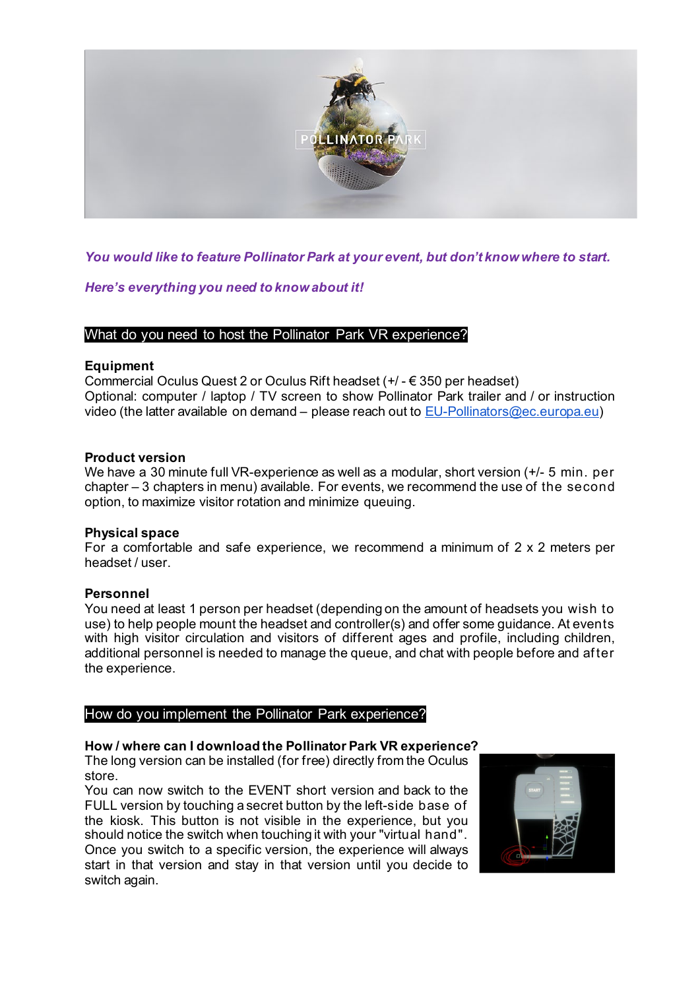

*You would like to feature Pollinator Park at your event, but don't know where to start.*

*Here's everything you need to know about it!*

## What do you need to host the Pollinator Park VR experience?

### **Equipment**

Commercial Oculus Quest 2 or Oculus Rift headset (+/ - € 350 per headset) Optional: computer / laptop / TV screen to show Pollinator Park trailer and / or instruction video (the latter available on demand – please reach out to EU-Pollinators@ec.europa.eu)

### **Product version**

We have a 30 minute full VR-experience as well as a modular, short version  $(+/- 5$  min. per chapter – 3 chapters in menu) available. For events, we recommend the use of the second option, to maximize visitor rotation and minimize queuing.

#### **Physical space**

For a comfortable and safe experience, we recommend a minimum of 2 x 2 meters per headset / user.

## **Personnel**

You need at least 1 person per headset (depending on the amount of headsets you wish to use) to help people mount the headset and controller(s) and offer some guidance. At events with high visitor circulation and visitors of different ages and profile, including children, additional personnel is needed to manage the queue, and chat with people before and af ter the experience.

## How do you implement the Pollinator Park experience?

# **How / where can I download the Pollinator Park VR experience?**

The long version can be installed (for free) directly from the Oculus store.

You can now switch to the EVENT short version and back to the FULL version by touching a secret button by the left-side base of the kiosk. This button is not visible in the experience, but you should notice the switch when touching it with your "virtual hand". Once you switch to a specific version, the experience will always start in that version and stay in that version until you decide to switch again.

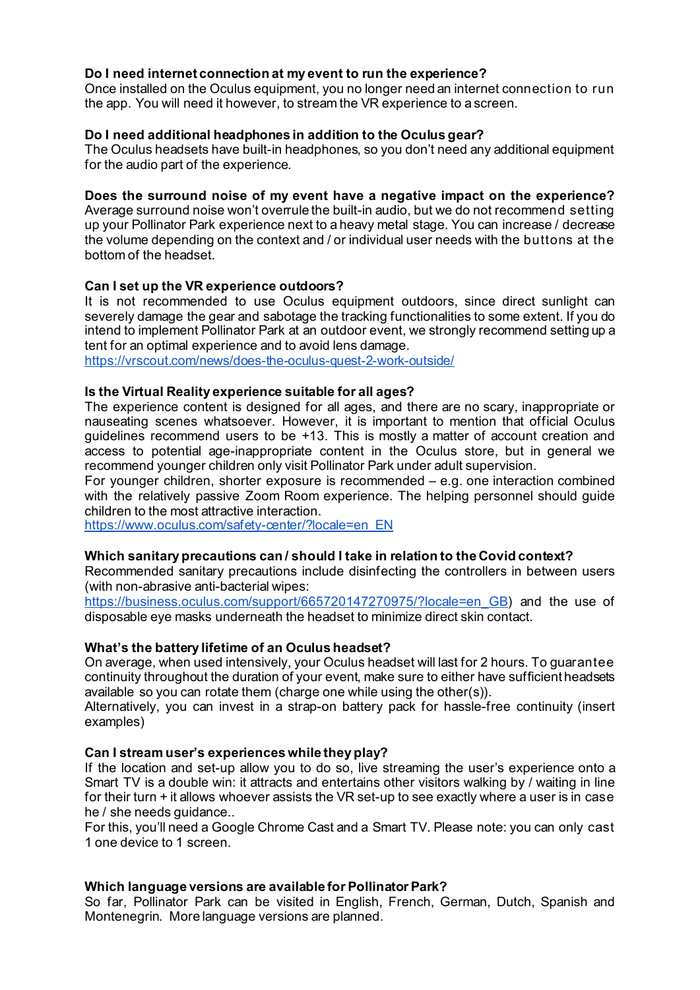## **Do I need internet connection at my event to run the experience?**

Once installed on the Oculus equipment, you no longer need an internet connection to run the app. You will need it however, to stream the VR experience to a screen.

### **Do I need additional headphones in addition to the Oculus gear?**

The Oculus headsets have built-in headphones, so you don't need any additional equipment for the audio part of the experience.

### **Does the surround noise of my event have a negative impact on the experience?**

Average surround noise won't overrule the built-in audio, but we do not recommend setting up your Pollinator Park experience next to a heavy metal stage. You can increase / decrease the volume depending on the context and / or individual user needs with the buttons at the bottom of the headset.

### **Can I set up the VR experience outdoors?**

It is not recommended to use Oculus equipment outdoors, since direct sunlight can severely damage the gear and sabotage the tracking functionalities to some extent. If you do intend to implement Pollinator Park at an outdoor event, we strongly recommend setting up a tent for an optimal experience and to avoid lens damage.

https://vrscout.com/news/does-the-oculus-quest-2-work-outside/

### **Is the Virtual Reality experience suitable for all ages?**

The experience content is designed for all ages, and there are no scary, inappropriate or nauseating scenes whatsoever. However, it is important to mention that official Oculus guidelines recommend users to be +13. This is mostly a matter of account creation and access to potential age-inappropriate content in the Oculus store, but in general we recommend younger children only visit Pollinator Park under adult supervision.

For younger children, shorter exposure is recommended – e.g. one interaction combined with the relatively passive Zoom Room experience. The helping personnel should guide children to the most attractive interaction.

https://www.oculus.com/safety-center/?locale=en\_EN\_

### **Which sanitary precautions can / should I take in relation to the Covid context?**

Recommended sanitary precautions include disinfecting the controllers in between users (with non-abrasive anti-bacterial wipes:

https://business.oculus.com/support/665720147270975/?locale=en\_GB) and the use of disposable eye masks underneath the headset to minimize direct skin contact.

#### **What's the battery lifetime of an Oculus headset?**

On average, when used intensively, your Oculus headset will last for 2 hours. To guarantee continuity throughout the duration of your event, make sure to either have sufficient headsets available so you can rotate them (charge one while using the other(s)).

Alternatively, you can invest in a strap-on battery pack for hassle-free continuity (insert examples)

## **Can I stream user's experiences while they play?**

If the location and set-up allow you to do so, live streaming the user's experience onto a Smart TV is a double win: it attracts and entertains other visitors walking by / waiting in line for their turn + it allows whoever assists the VR set-up to see exactly where a user is in case he / she needs guidance..

For this, you'll need a Google Chrome Cast and a Smart TV. Please note: you can only cast 1 one device to 1 screen.

#### **Which language versions are available for Pollinator Park?**

So far, Pollinator Park can be visited in English, French, German, Dutch, Spanish and Montenegrin. More language versions are planned.